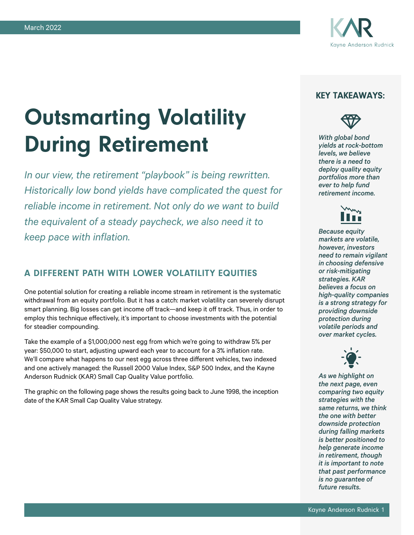

# Outsmarting Volatility During Retirement

*In our view, the retirement "playbook" is being rewritten. Historically low bond yields have complicated the quest for reliable income in retirement. Not only do we want to build the equivalent of a steady paycheck, we also need it to keep pace with inflation.*

## A DIFFERENT PATH WITH LOWER VOLATILITY EQUITIES

One potential solution for creating a reliable income stream in retirement is the systematic withdrawal from an equity portfolio. But it has a catch: market volatility can severely disrupt smart planning. Big losses can get income off track—and keep it off track. Thus, in order to employ this technique effectively, it's important to choose investments with the potential for steadier compounding.

Take the example of a \$1,000,000 nest egg from which we're going to withdraw 5% per year: \$50,000 to start, adjusting upward each year to account for a 3% inflation rate. We'll compare what happens to our nest egg across three different vehicles, two indexed and one actively managed: the Russell 2000 Value Index, S&P 500 Index, and the Kayne Anderson Rudnick (KAR) Small Cap Quality Value portfolio.

The graphic on the following page shows the results going back to June 1998, the inception date of the KAR Small Cap Quality Value strategy.

## KEY TAKEAWAYS:



*With global bond yields at rock-bottom levels, we believe there is a need to deploy quality equity portfolios more than ever to help fund retirement income.*



*Because equity markets are volatile, however, investors need to remain vigilant in choosing defensive or risk-mitigating strategies. KAR believes a focus on high-quality companies is a strong strategy for providing downside protection during volatile periods and over market cycles.*



*As we highlight on the next page, even comparing two equity strategies with the same returns, we think the one with better downside protection during falling markets is better positioned to help generate income in retirement, though it is important to note that past performance is no guarantee of future results.*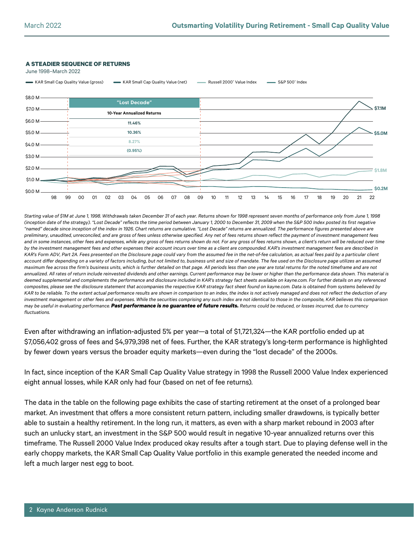#### **A STEADIER SEQUENCE OF RETURNS**

June 1998–March 2022



*Starting value of \$1M at June 1, 1998. Withdrawals taken December 31 of each year. Returns shown for 1998 represent seven months of performance only from June 1, 1998 (inception date of the strategy). "Lost Decade" reflects the time period between January 1, 2000 to December 31, 2009 when the S&P 500 Index posted its first negative "named" decade since inception of the index in 1926. Chart returns are cumulative. "Lost Decade" returns are annualized. The performance figures presented above are preliminary, unaudited, unreconciled, and are gross of fees unless otherwise specified. Any net of fees returns shown reflect the payment of investment management fees*  and in some instances, other fees and expenses, while any gross of fees returns shown do not. For any gross of fees returns shown, a client's return will be reduced over time *by the investment management fees and other expenses their account incurs over time as a client are compounded. KAR's investment management fees are described in KAR's Form ADV, Part 2A. Fees presented on the Disclosure page could vary from the assumed fee in the net-of-fee calculation, as actual fees paid by a particular client account differ depending on a variety of factors including, but not limited to, business unit and size of mandate. The fee used on the Disclosure page utilizes an assumed maximum fee across the firm's business units, which is further detailed on that page. All periods less than one year are total returns for the noted timeframe and are not*  annualized. All rates of return include reinvested dividends and other earnings. Current performance may be lower or higher than the performance data shown. This material is *deemed supplemental and complements the performance and disclosure included in KAR's strategy fact sheets available on kayne.com. For further details on any referenced composites, please see the disclosure statement that accompanies the respective KAR strategy fact sheet found on kayne.com. Data is obtained from systems believed by*  KAR to be reliable. To the extent actual performance results are shown in comparison to an index, the index is not actively managed and does not reflect the deduction of any *investment management or other fees and expenses. While the securities comprising any such index are not identical to those in the composite, KAR believes this comparison may be useful in evaluating performance. Past performance is no guarantee of future results. Returns could be reduced, or losses incurred, due to currency fluctuations.*

Even after withdrawing an inflation-adjusted 5% per year—a total of \$1,721,324—the KAR portfolio ended up at \$7,056,402 gross of fees and \$4,979,398 net of fees. Further, the KAR strategy's long-term performance is highlighted by fewer down years versus the broader equity markets—even during the "lost decade" of the 2000s.

In fact, since inception of the KAR Small Cap Quality Value strategy in 1998 the Russell 2000 Value Index experienced eight annual losses, while KAR only had four (based on net of fee returns).

The data in the table on the following page exhibits the case of starting retirement at the onset of a prolonged bear market. An investment that offers a more consistent return pattern, including smaller drawdowns, is typically better able to sustain a healthy retirement. In the long run, it matters, as even with a sharp market rebound in 2003 after such an unlucky start, an investment in the S&P 500 would result in negative 10-year annualized returns over this timeframe. The Russell 2000 Value Index produced okay results after a tough start. Due to playing defense well in the early choppy markets, the KAR Small Cap Quality Value portfolio in this example generated the needed income and left a much larger nest egg to boot.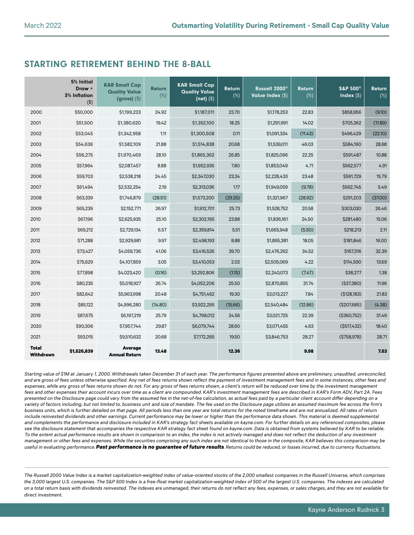## STARTING RETIREMENT BEHIND THE 8-BALL

|                           | 5% Initial<br>Draw +<br><b>3% Inflation</b><br>$($ \$) | <b>KAR Small Cap</b><br><b>Quality Value</b><br>$(gross)$ (\$) | <b>Return</b><br>$(\%)$ | <b>KAR Small Cap</b><br><b>Quality Value</b><br>$(net)$ (\$) | <b>Return</b><br>$(\%)$ | Russell 2000 <sup>®</sup><br>Value Index (\$) | <b>Return</b><br>$(\%)$ | S&P 500 <sup>®</sup><br>Index $(\$)$ | Return<br>$(\%)$ |
|---------------------------|--------------------------------------------------------|----------------------------------------------------------------|-------------------------|--------------------------------------------------------------|-------------------------|-----------------------------------------------|-------------------------|--------------------------------------|------------------|
| 2000                      | \$50,000                                               | \$1,199,233                                                    | 24.92                   | \$1,187,011                                                  | 23.70                   | \$1,178,253                                   | 22.83                   | \$858,956                            | (9.10)           |
| 2001                      | \$51,500                                               | \$1,380,620                                                    | 19.42                   | \$1,352,100                                                  | 18.25                   | \$1,291,991                                   | 14.02                   | \$705,362                            | (11.89)          |
| 2002                      | \$53,045                                               | \$1,342,958                                                    | 1.11                    | \$1,300,508                                                  | 0.11                    | \$1,091,334                                   | (11.43)                 | \$496,429                            | (22.10)          |
| 2003                      | \$54,636                                               | \$1,582,109                                                    | 21.88                   | \$1,514,838                                                  | 20.68                   | \$1,539,011                                   | 46.03                   | \$584,190                            | 28.68            |
| 2004                      | \$56,275                                               | \$1,970,469                                                    | 28.10                   | \$1,865,362                                                  | 26.85                   | \$1,825,096                                   | 22.25                   | \$591,487                            | 10.88            |
| 2005                      | \$57,964                                               | \$2,087,457                                                    | 8.88                    | \$1,952,935                                                  | 7.80                    | \$1,853,049                                   | 4.71                    | \$562,577                            | 4.91             |
| 2006                      | \$59,703                                               | \$2,538,218                                                    | 24.45                   | \$2,347,030                                                  | 23.24                   | \$2,228,433                                   | 23.48                   | \$591,729                            | 15.79            |
| 2007                      | \$61,494                                               | \$2,532,254                                                    | 2.19                    | \$2,313,036                                                  | 1.17                    | \$1,949,059                                   | (9.78)                  | \$562,745                            | 5.49             |
| 2008                      | \$63,339                                               | \$1,746,879                                                    | (28.51)                 | \$1,573,200                                                  | (29.25)                 | \$1,321,967                                   | (28.92)                 | \$291,203                            | (37.00)          |
| 2009                      | \$65,239                                               | \$2,152,771                                                    | 26.97                   | \$1,912,701                                                  | 25.73                   | \$1,528,752                                   | 20.58                   | \$303,030                            | 26.46            |
| 2010                      | \$67,196                                               | \$2,625,935                                                    | 25.10                   | \$2,302,195                                                  | 23.88                   | \$1,836,161                                   | 24.50                   | \$281,480                            | 15.06            |
| 2011                      | \$69,212                                               | \$2,729,134                                                    | 6.57                    | \$2,359,814                                                  | 5.51                    | \$1,665,948                                   | (5.50)                  | \$218,213                            | 2.11             |
| 2012                      | \$71,288                                               | \$2,929,981                                                    | 9.97                    | \$2,498,193                                                  | 8.88                    | \$1,895,381                                   | 18.05                   | \$181,846                            | 16.00            |
| 2013                      | \$73,427                                               | \$4,059,736                                                    | 41.06                   | \$3,416,526                                                  | 39.70                   | \$2,476,262                                   | 34.52                   | \$167,316                            | 32.39            |
| 2014                      | \$75,629                                               | \$4,107,859                                                    | 3.05                    | \$3,410,053                                                  | 2.02                    | \$2,505,069                                   | 4.22                    | \$114,590                            | 13.69            |
| 2015                      | \$77,898                                               | \$4,023,420                                                    | (0.16)                  | \$3,292,806                                                  | (1.15)                  | \$2,240,073                                   | (7.47)                  | \$38,277                             | 1.38             |
| 2016                      | \$80,235                                               | \$5,018,927                                                    | 26.74                   | \$4,052,206                                                  | 25.50                   | \$2,870,855                                   | 31.74                   | ( \$37,380)                          | 11.96            |
| 2017                      | \$82,642                                               | \$5,963,998                                                    | 20.48                   | \$4,751,462                                                  | 19.30                   | \$3,013,227                                   | 7.84                    | (\$128,183)                          | 21.83            |
| 2018                      | \$85,122                                               | \$4,996,280                                                    | (14.80)                 | \$3,922,295                                                  | (15.66)                 | \$2,540,484                                   | (12.86)                 | ( \$207, 685)                        | (4.38)           |
| 2019                      | \$87,675                                               | \$6,197,219                                                    | 25.79                   | \$4,798,012                                                  | 24.56                   | \$3,021,725                                   | 22.39                   | ( \$360, 752)                        | 31.49            |
| 2020                      | \$90,306                                               | \$7,957,744                                                    | 29.87                   | \$6,079,744                                                  | 28.60                   | \$3,071,455                                   | 4.63                    | (\$517,432)                          | 18.40            |
| 2021                      | \$93,015                                               | \$9,510,632                                                    | 20.68                   | \$7,172,265                                                  | 19.50                   | \$3,846,753                                   | 28.27                   | (\$758,978)                          | 28.71            |
| <b>Total</b><br>Withdrawn | \$1,526,839                                            | Average<br><b>Annual Return</b>                                | 13.48                   |                                                              | 12.36                   |                                               | 9.98                    |                                      | 7.53             |

*Starting value of \$1M at January 1, 2000. Withdrawals taken December 31 of each year. The performance figures presented above are preliminary, unaudited, unreconciled,*  and are gross of fees unless otherwise specified. Any net of fees returns shown reflect the payment of investment management fees and in some instances, other fees and expenses, while any gross of fees returns shown do not. For any gross of fees returns shown, a client's return will be reduced over time by the investment management fees and other expenses their account incurs over time as a client are compounded. KAR's investment management fees are described in KAR's Form ADV, Part 2A. Fees *presented on the Disclosure page could vary from the assumed fee in the net-of-fee calculation, as actual fees paid by a particular client account differ depending on a variety of factors including, but not limited to, business unit and size of mandate. The fee used on the Disclosure page utilizes an assumed maximum fee across the firm's business units, which is further detailed on that page. All periods less than one year are total returns for the noted timeframe and are not annualized. All rates of return*  include reinvested dividends and other earnings. Current performance may be lower or higher than the performance data shown. This material is deemed supplemental and complements the performance and disclosure included in KAR's strategy fact sheets available on kayne.com. For further details on any referenced composites, please see the disclosure statement that accompanies the respective KAR strategy fact sheet found on kayne.com. Data is obtained from systems believed by KAR to be reliable. *To the extent actual performance results are shown in comparison to an index, the index is not actively managed and does not reflect the deduction of any investment management or other fees and expenses. While the securities comprising any such index are not identical to those in the composite, KAR believes this comparison may be useful in evaluating performance.Past performance is no guarantee of future results. Returns could be reduced, or losses incurred, due to currency fluctuations.*

*The Russell 2000 Value Index is a market capitalization-weighted index of value-oriented stocks of the 2,000 smallest companies in the Russell Universe, which comprises the 3,000 largest U.S. companies. The S&P 500 Index is a free-float market capitalization-weighted index of 500 of the largest U.S. companies. The indexes are calculated on a total return basis with dividends reinvested. The indexes are unmanaged, their returns do not reflect any fees, expenses, or sales charges, and they are not available for direct investment.*